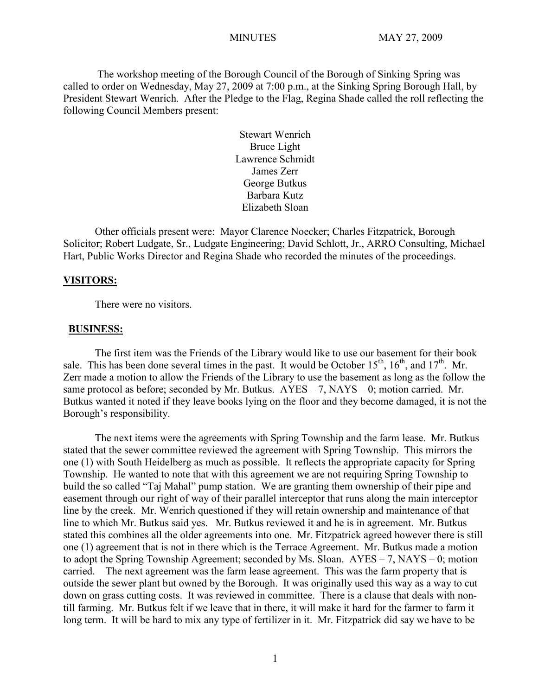The workshop meeting of the Borough Council of the Borough of Sinking Spring was called to order on Wednesday, May 27, 2009 at 7:00 p.m., at the Sinking Spring Borough Hall, by President Stewart Wenrich. After the Pledge to the Flag, Regina Shade called the roll reflecting the following Council Members present:

> Stewart Wenrich Bruce Light Lawrence Schmidt James Zerr George Butkus Barbara Kutz Elizabeth Sloan

Other officials present were: Mayor Clarence Noecker; Charles Fitzpatrick, Borough Solicitor; Robert Ludgate, Sr., Ludgate Engineering; David Schlott, Jr., ARRO Consulting, Michael Hart, Public Works Director and Regina Shade who recorded the minutes of the proceedings.

#### **VISITORS:**

There were no visitors.

#### **BUSINESS:**

The first item was the Friends of the Library would like to use our basement for their book sale. This has been done several times in the past. It would be October  $15<sup>th</sup>$ ,  $16<sup>th</sup>$ , and  $17<sup>th</sup>$ . Mr. Zerr made a motion to allow the Friends of the Library to use the basement as long as the follow the same protocol as before; seconded by Mr. Butkus.  $AYES - 7$ ,  $NAYS - 0$ ; motion carried. Mr. Butkus wanted it noted if they leave books lying on the floor and they become damaged, it is not the Borough's responsibility.

The next items were the agreements with Spring Township and the farm lease. Mr. Butkus stated that the sewer committee reviewed the agreement with Spring Township. This mirrors the one (1) with South Heidelberg as much as possible. It reflects the appropriate capacity for Spring Township. He wanted to note that with this agreement we are not requiring Spring Township to build the so called "Taj Mahal" pump station. We are granting them ownership of their pipe and easement through our right of way of their parallel interceptor that runs along the main interceptor line by the creek. Mr. Wenrich questioned if they will retain ownership and maintenance of that line to which Mr. Butkus said yes. Mr. Butkus reviewed it and he is in agreement. Mr. Butkus stated this combines all the older agreements into one. Mr. Fitzpatrick agreed however there is still one (1) agreement that is not in there which is the Terrace Agreement. Mr. Butkus made a motion to adopt the Spring Township Agreement; seconded by Ms. Sloan. AYES – 7, NAYS – 0; motion carried. The next agreement was the farm lease agreement. This was the farm property that is outside the sewer plant but owned by the Borough. It was originally used this way as a way to cut down on grass cutting costs. It was reviewed in committee. There is a clause that deals with nontill farming. Mr. Butkus felt if we leave that in there, it will make it hard for the farmer to farm it long term. It will be hard to mix any type of fertilizer in it. Mr. Fitzpatrick did say we have to be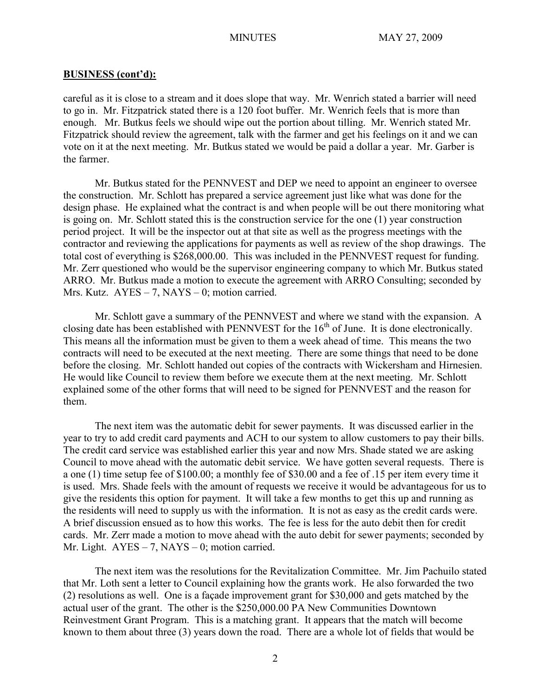careful as it is close to a stream and it does slope that way. Mr. Wenrich stated a barrier will need to go in. Mr. Fitzpatrick stated there is a 120 foot buffer. Mr. Wenrich feels that is more than enough. Mr. Butkus feels we should wipe out the portion about tilling. Mr. Wenrich stated Mr. Fitzpatrick should review the agreement, talk with the farmer and get his feelings on it and we can vote on it at the next meeting. Mr. Butkus stated we would be paid a dollar a year. Mr. Garber is the farmer.

Mr. Butkus stated for the PENNVEST and DEP we need to appoint an engineer to oversee the construction. Mr. Schlott has prepared a service agreement just like what was done for the design phase. He explained what the contract is and when people will be out there monitoring what is going on. Mr. Schlott stated this is the construction service for the one (1) year construction period project. It will be the inspector out at that site as well as the progress meetings with the contractor and reviewing the applications for payments as well as review of the shop drawings. The total cost of everything is \$268,000.00. This was included in the PENNVEST request for funding. Mr. Zerr questioned who would be the supervisor engineering company to which Mr. Butkus stated ARRO. Mr. Butkus made a motion to execute the agreement with ARRO Consulting; seconded by Mrs. Kutz.  $AYES - 7$ , NAYS – 0; motion carried.

Mr. Schlott gave a summary of the PENNVEST and where we stand with the expansion. A closing date has been established with PENNVEST for the  $16<sup>th</sup>$  of June. It is done electronically. This means all the information must be given to them a week ahead of time. This means the two contracts will need to be executed at the next meeting. There are some things that need to be done before the closing. Mr. Schlott handed out copies of the contracts with Wickersham and Hirnesien. He would like Council to review them before we execute them at the next meeting. Mr. Schlott explained some of the other forms that will need to be signed for PENNVEST and the reason for them.

The next item was the automatic debit for sewer payments. It was discussed earlier in the year to try to add credit card payments and ACH to our system to allow customers to pay their bills. The credit card service was established earlier this year and now Mrs. Shade stated we are asking Council to move ahead with the automatic debit service. We have gotten several requests. There is a one (1) time setup fee of \$100.00; a monthly fee of \$30.00 and a fee of .15 per item every time it is used. Mrs. Shade feels with the amount of requests we receive it would be advantageous for us to give the residents this option for payment. It will take a few months to get this up and running as the residents will need to supply us with the information. It is not as easy as the credit cards were. A brief discussion ensued as to how this works. The fee is less for the auto debit then for credit cards. Mr. Zerr made a motion to move ahead with the auto debit for sewer payments; seconded by Mr. Light.  $AYES - 7$ ,  $NAYS - 0$ ; motion carried.

The next item was the resolutions for the Revitalization Committee. Mr. Jim Pachuilo stated that Mr. Loth sent a letter to Council explaining how the grants work. He also forwarded the two (2) resolutions as well. One is a façade improvement grant for \$30,000 and gets matched by the actual user of the grant. The other is the \$250,000.00 PA New Communities Downtown Reinvestment Grant Program. This is a matching grant. It appears that the match will become known to them about three (3) years down the road. There are a whole lot of fields that would be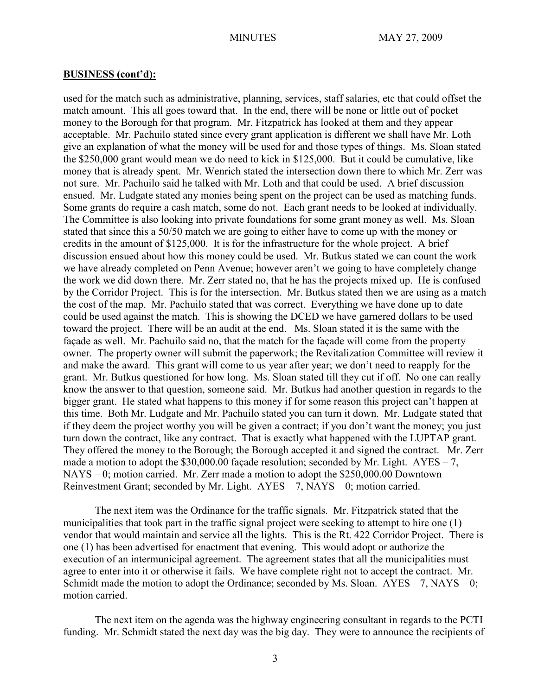used for the match such as administrative, planning, services, staff salaries, etc that could offset the match amount. This all goes toward that. In the end, there will be none or little out of pocket money to the Borough for that program. Mr. Fitzpatrick has looked at them and they appear acceptable. Mr. Pachuilo stated since every grant application is different we shall have Mr. Loth give an explanation of what the money will be used for and those types of things. Ms. Sloan stated the \$250,000 grant would mean we do need to kick in \$125,000. But it could be cumulative, like money that is already spent. Mr. Wenrich stated the intersection down there to which Mr. Zerr was not sure. Mr. Pachuilo said he talked with Mr. Loth and that could be used. A brief discussion ensued. Mr. Ludgate stated any monies being spent on the project can be used as matching funds. Some grants do require a cash match, some do not. Each grant needs to be looked at individually. The Committee is also looking into private foundations for some grant money as well. Ms. Sloan stated that since this a 50/50 match we are going to either have to come up with the money or credits in the amount of \$125,000. It is for the infrastructure for the whole project. A brief discussion ensued about how this money could be used. Mr. Butkus stated we can count the work we have already completed on Penn Avenue; however aren't we going to have completely change the work we did down there. Mr. Zerr stated no, that he has the projects mixed up. He is confused by the Corridor Project. This is for the intersection. Mr. Butkus stated then we are using as a match the cost of the map. Mr. Pachuilo stated that was correct. Everything we have done up to date could be used against the match. This is showing the DCED we have garnered dollars to be used toward the project. There will be an audit at the end. Ms. Sloan stated it is the same with the façade as well. Mr. Pachuilo said no, that the match for the façade will come from the property owner. The property owner will submit the paperwork; the Revitalization Committee will review it and make the award. This grant will come to us year after year; we don't need to reapply for the grant. Mr. Butkus questioned for how long. Ms. Sloan stated till they cut if off. No one can really know the answer to that question, someone said. Mr. Butkus had another question in regards to the bigger grant. He stated what happens to this money if for some reason this project can't happen at this time. Both Mr. Ludgate and Mr. Pachuilo stated you can turn it down. Mr. Ludgate stated that if they deem the project worthy you will be given a contract; if you don't want the money; you just turn down the contract, like any contract. That is exactly what happened with the LUPTAP grant. They offered the money to the Borough; the Borough accepted it and signed the contract. Mr. Zerr made a motion to adopt the  $$30,000.00$  façade resolution; seconded by Mr. Light. AYES – 7, NAYS – 0; motion carried. Mr. Zerr made a motion to adopt the \$250,000.00 Downtown Reinvestment Grant; seconded by Mr. Light. AYES – 7, NAYS – 0; motion carried.

The next item was the Ordinance for the traffic signals. Mr. Fitzpatrick stated that the municipalities that took part in the traffic signal project were seeking to attempt to hire one (1) vendor that would maintain and service all the lights. This is the Rt. 422 Corridor Project. There is one (1) has been advertised for enactment that evening. This would adopt or authorize the execution of an intermunicipal agreement. The agreement states that all the municipalities must agree to enter into it or otherwise it fails. We have complete right not to accept the contract. Mr. Schmidt made the motion to adopt the Ordinance; seconded by Ms. Sloan.  $AYES - 7$ ,  $NAYS - 0$ ; motion carried.

The next item on the agenda was the highway engineering consultant in regards to the PCTI funding. Mr. Schmidt stated the next day was the big day. They were to announce the recipients of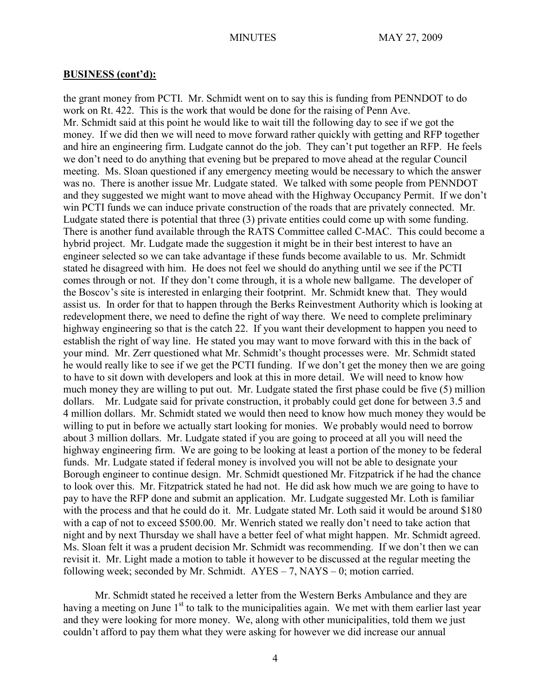the grant money from PCTI. Mr. Schmidt went on to say this is funding from PENNDOT to do work on Rt. 422. This is the work that would be done for the raising of Penn Ave. Mr. Schmidt said at this point he would like to wait till the following day to see if we got the money. If we did then we will need to move forward rather quickly with getting and RFP together and hire an engineering firm. Ludgate cannot do the job. They can't put together an RFP. He feels we don't need to do anything that evening but be prepared to move ahead at the regular Council meeting. Ms. Sloan questioned if any emergency meeting would be necessary to which the answer was no. There is another issue Mr. Ludgate stated. We talked with some people from PENNDOT and they suggested we might want to move ahead with the Highway Occupancy Permit. If we don't win PCTI funds we can induce private construction of the roads that are privately connected. Mr. Ludgate stated there is potential that three (3) private entities could come up with some funding. There is another fund available through the RATS Committee called C-MAC. This could become a hybrid project. Mr. Ludgate made the suggestion it might be in their best interest to have an engineer selected so we can take advantage if these funds become available to us. Mr. Schmidt stated he disagreed with him. He does not feel we should do anything until we see if the PCTI comes through or not. If they don't come through, it is a whole new ballgame. The developer of the Boscov's site is interested in enlarging their footprint. Mr. Schmidt knew that. They would assist us. In order for that to happen through the Berks Reinvestment Authority which is looking at redevelopment there, we need to define the right of way there. We need to complete preliminary highway engineering so that is the catch 22. If you want their development to happen you need to establish the right of way line. He stated you may want to move forward with this in the back of your mind. Mr. Zerr questioned what Mr. Schmidt's thought processes were. Mr. Schmidt stated he would really like to see if we get the PCTI funding. If we don't get the money then we are going to have to sit down with developers and look at this in more detail. We will need to know how much money they are willing to put out. Mr. Ludgate stated the first phase could be five (5) million dollars. Mr. Ludgate said for private construction, it probably could get done for between 3.5 and 4 million dollars. Mr. Schmidt stated we would then need to know how much money they would be willing to put in before we actually start looking for monies. We probably would need to borrow about 3 million dollars. Mr. Ludgate stated if you are going to proceed at all you will need the highway engineering firm. We are going to be looking at least a portion of the money to be federal funds. Mr. Ludgate stated if federal money is involved you will not be able to designate your Borough engineer to continue design. Mr. Schmidt questioned Mr. Fitzpatrick if he had the chance to look over this. Mr. Fitzpatrick stated he had not. He did ask how much we are going to have to pay to have the RFP done and submit an application. Mr. Ludgate suggested Mr. Loth is familiar with the process and that he could do it. Mr. Ludgate stated Mr. Loth said it would be around \$180 with a cap of not to exceed \$500.00. Mr. Wenrich stated we really don't need to take action that night and by next Thursday we shall have a better feel of what might happen. Mr. Schmidt agreed. Ms. Sloan felt it was a prudent decision Mr. Schmidt was recommending. If we don't then we can revisit it. Mr. Light made a motion to table it however to be discussed at the regular meeting the following week; seconded by Mr. Schmidt.  $AYES - 7$ ,  $NAYS - 0$ ; motion carried.

Mr. Schmidt stated he received a letter from the Western Berks Ambulance and they are having a meeting on June 1<sup>st</sup> to talk to the municipalities again. We met with them earlier last year and they were looking for more money. We, along with other municipalities, told them we just couldn't afford to pay them what they were asking for however we did increase our annual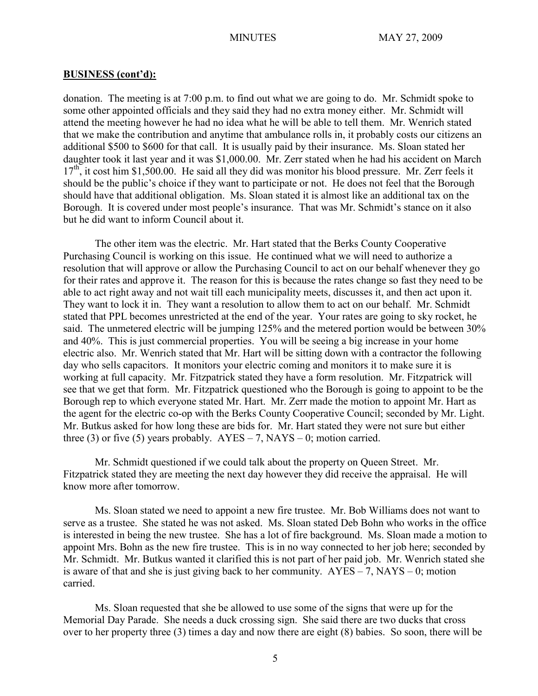donation. The meeting is at 7:00 p.m. to find out what we are going to do. Mr. Schmidt spoke to some other appointed officials and they said they had no extra money either. Mr. Schmidt will attend the meeting however he had no idea what he will be able to tell them. Mr. Wenrich stated that we make the contribution and anytime that ambulance rolls in, it probably costs our citizens an additional \$500 to \$600 for that call. It is usually paid by their insurance. Ms. Sloan stated her daughter took it last year and it was \$1,000.00. Mr. Zerr stated when he had his accident on March  $17<sup>th</sup>$ , it cost him \$1,500.00. He said all they did was monitor his blood pressure. Mr. Zerr feels it should be the public's choice if they want to participate or not. He does not feel that the Borough should have that additional obligation. Ms. Sloan stated it is almost like an additional tax on the Borough. It is covered under most people's insurance. That was Mr. Schmidt's stance on it also but he did want to inform Council about it.

The other item was the electric. Mr. Hart stated that the Berks County Cooperative Purchasing Council is working on this issue. He continued what we will need to authorize a resolution that will approve or allow the Purchasing Council to act on our behalf whenever they go for their rates and approve it. The reason for this is because the rates change so fast they need to be able to act right away and not wait till each municipality meets, discusses it, and then act upon it. They want to lock it in. They want a resolution to allow them to act on our behalf. Mr. Schmidt stated that PPL becomes unrestricted at the end of the year. Your rates are going to sky rocket, he said. The unmetered electric will be jumping 125% and the metered portion would be between 30% and 40%. This is just commercial properties. You will be seeing a big increase in your home electric also. Mr. Wenrich stated that Mr. Hart will be sitting down with a contractor the following day who sells capacitors. It monitors your electric coming and monitors it to make sure it is working at full capacity. Mr. Fitzpatrick stated they have a form resolution. Mr. Fitzpatrick will see that we get that form. Mr. Fitzpatrick questioned who the Borough is going to appoint to be the Borough rep to which everyone stated Mr. Hart. Mr. Zerr made the motion to appoint Mr. Hart as the agent for the electric co-op with the Berks County Cooperative Council; seconded by Mr. Light. Mr. Butkus asked for how long these are bids for. Mr. Hart stated they were not sure but either three (3) or five (5) years probably.  $AYES - 7$ ,  $NAYS - 0$ ; motion carried.

Mr. Schmidt questioned if we could talk about the property on Queen Street. Mr. Fitzpatrick stated they are meeting the next day however they did receive the appraisal. He will know more after tomorrow.

Ms. Sloan stated we need to appoint a new fire trustee. Mr. Bob Williams does not want to serve as a trustee. She stated he was not asked. Ms. Sloan stated Deb Bohn who works in the office is interested in being the new trustee. She has a lot of fire background. Ms. Sloan made a motion to appoint Mrs. Bohn as the new fire trustee. This is in no way connected to her job here; seconded by Mr. Schmidt. Mr. Butkus wanted it clarified this is not part of her paid job. Mr. Wenrich stated she is aware of that and she is just giving back to her community.  $AYES - 7$ ,  $NAYS - 0$ ; motion carried.

Ms. Sloan requested that she be allowed to use some of the signs that were up for the Memorial Day Parade. She needs a duck crossing sign. She said there are two ducks that cross over to her property three (3) times a day and now there are eight (8) babies. So soon, there will be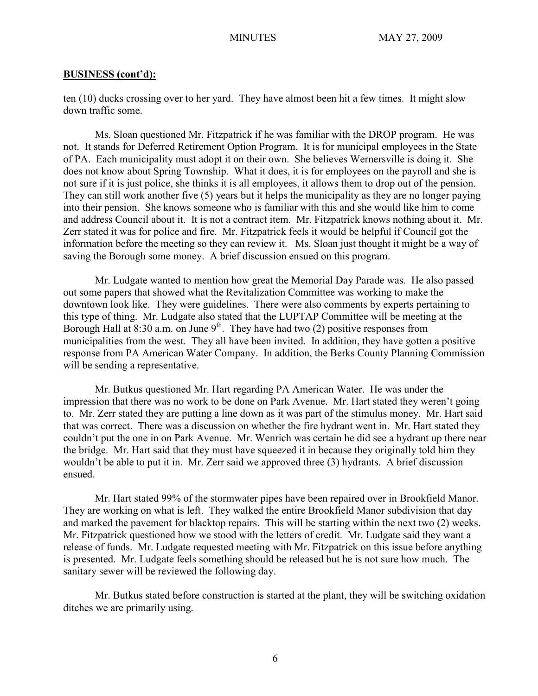ten (10) ducks crossing over to her yard. They have almost been hit a few times. It might slow down traffic some.

Ms. Sloan questioned Mr. Fitzpatrick if he was familiar with the DROP program. He was not. It stands for Deferred Retirement Option Program. It is for municipal employees in the State of PA. Each municipality must adopt it on their own. She believes Wernersville is doing it. She does not know about Spring Township. What it does, it is for employees on the payroll and she is not sure if it is just police, she thinks it is all employees, it allows them to drop out of the pension. They can still work another five (5) years but it helps the municipality as they are no longer paying into their pension. She knows someone who is familiar with this and she would like him to come and address Council about it. It is not a contract item. Mr. Fitzpatrick knows nothing about it. Mr. Zerr stated it was for police and fire. Mr. Fitzpatrick feels it would be helpful if Council got the information before the meeting so they can review it. Ms. Sloan just thought it might be a way of saving the Borough some money. A brief discussion ensued on this program.

Mr. Ludgate wanted to mention how great the Memorial Day Parade was. He also passed out some papers that showed what the Revitalization Committee was working to make the downtown look like. They were guidelines. There were also comments by experts pertaining to this type of thing. Mr. Ludgate also stated that the LUPTAP Committee will be meeting at the Borough Hall at 8:30 a.m. on June  $9<sup>th</sup>$ . They have had two (2) positive responses from municipalities from the west. They all have been invited. In addition, they have gotten a positive response from PA American Water Company. In addition, the Berks County Planning Commission will be sending a representative.

Mr. Butkus questioned Mr. Hart regarding PA American Water. He was under the impression that there was no work to be done on Park Avenue. Mr. Hart stated they weren't going to. Mr. Zerr stated they are putting a line down as it was part of the stimulus money. Mr. Hart said that was correct. There was a discussion on whether the fire hydrant went in. Mr. Hart stated they couldn't put the one in on Park Avenue. Mr. Wenrich was certain he did see a hydrant up there near the bridge. Mr. Hart said that they must have squeezed it in because they originally told him they wouldn't be able to put it in. Mr. Zerr said we approved three (3) hydrants. A brief discussion ensued.

Mr. Hart stated 99% of the stormwater pipes have been repaired over in Brookfield Manor. They are working on what is left. They walked the entire Brookfield Manor subdivision that day and marked the pavement for blacktop repairs. This will be starting within the next two (2) weeks. Mr. Fitzpatrick questioned how we stood with the letters of credit. Mr. Ludgate said they want a release of funds. Mr. Ludgate requested meeting with Mr. Fitzpatrick on this issue before anything is presented. Mr. Ludgate feels something should be released but he is not sure how much. The sanitary sewer will be reviewed the following day.

Mr. Butkus stated before construction is started at the plant, they will be switching oxidation ditches we are primarily using.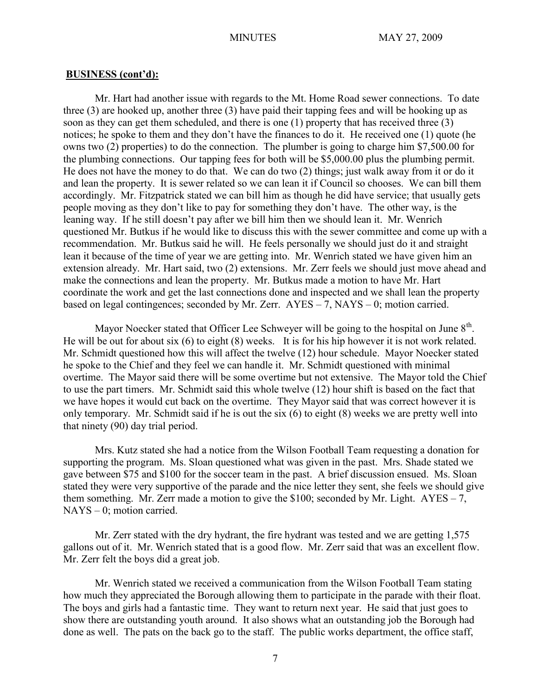Mr. Hart had another issue with regards to the Mt. Home Road sewer connections. To date three (3) are hooked up, another three (3) have paid their tapping fees and will be hooking up as soon as they can get them scheduled, and there is one (1) property that has received three (3) notices; he spoke to them and they don't have the finances to do it. He received one (1) quote (he owns two (2) properties) to do the connection. The plumber is going to charge him \$7,500.00 for the plumbing connections. Our tapping fees for both will be \$5,000.00 plus the plumbing permit. He does not have the money to do that. We can do two (2) things; just walk away from it or do it and lean the property. It is sewer related so we can lean it if Council so chooses. We can bill them accordingly. Mr. Fitzpatrick stated we can bill him as though he did have service; that usually gets people moving as they don't like to pay for something they don't have. The other way, is the leaning way. If he still doesn't pay after we bill him then we should lean it. Mr. Wenrich questioned Mr. Butkus if he would like to discuss this with the sewer committee and come up with a recommendation. Mr. Butkus said he will. He feels personally we should just do it and straight lean it because of the time of year we are getting into. Mr. Wenrich stated we have given him an extension already. Mr. Hart said, two (2) extensions. Mr. Zerr feels we should just move ahead and make the connections and lean the property. Mr. Butkus made a motion to have Mr. Hart coordinate the work and get the last connections done and inspected and we shall lean the property based on legal contingences; seconded by Mr. Zerr. AYES – 7, NAYS – 0; motion carried.

Mayor Noecker stated that Officer Lee Schweyer will be going to the hospital on June  $8<sup>th</sup>$ . He will be out for about six (6) to eight (8) weeks. It is for his hip however it is not work related. Mr. Schmidt questioned how this will affect the twelve (12) hour schedule. Mayor Noecker stated he spoke to the Chief and they feel we can handle it. Mr. Schmidt questioned with minimal overtime. The Mayor said there will be some overtime but not extensive. The Mayor told the Chief to use the part timers. Mr. Schmidt said this whole twelve (12) hour shift is based on the fact that we have hopes it would cut back on the overtime. They Mayor said that was correct however it is only temporary. Mr. Schmidt said if he is out the six (6) to eight (8) weeks we are pretty well into that ninety (90) day trial period.

Mrs. Kutz stated she had a notice from the Wilson Football Team requesting a donation for supporting the program. Ms. Sloan questioned what was given in the past. Mrs. Shade stated we gave between \$75 and \$100 for the soccer team in the past. A brief discussion ensued. Ms. Sloan stated they were very supportive of the parade and the nice letter they sent, she feels we should give them something. Mr. Zerr made a motion to give the \$100; seconded by Mr. Light.  $AYES - 7$ , NAYS – 0; motion carried.

Mr. Zerr stated with the dry hydrant, the fire hydrant was tested and we are getting 1,575 gallons out of it. Mr. Wenrich stated that is a good flow. Mr. Zerr said that was an excellent flow. Mr. Zerr felt the boys did a great job.

Mr. Wenrich stated we received a communication from the Wilson Football Team stating how much they appreciated the Borough allowing them to participate in the parade with their float. The boys and girls had a fantastic time. They want to return next year. He said that just goes to show there are outstanding youth around. It also shows what an outstanding job the Borough had done as well. The pats on the back go to the staff. The public works department, the office staff,